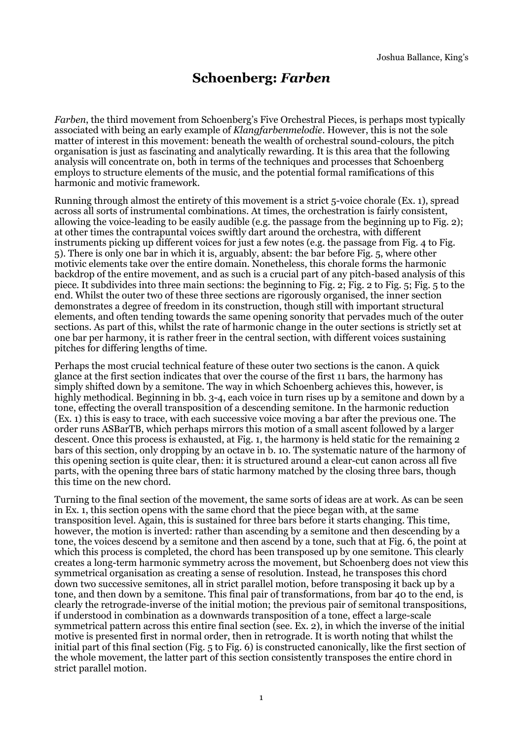## **Schoenberg:** *Farben*

*Farben*, the third movement from Schoenberg's Five Orchestral Pieces, is perhaps most typically associated with being an early example of *Klangfarbenmelodie*. However, this is not the sole matter of interest in this movement: beneath the wealth of orchestral sound-colours, the pitch organisation is just as fascinating and analytically rewarding. It is this area that the following analysis will concentrate on, both in terms of the techniques and processes that Schoenberg employs to structure elements of the music, and the potential formal ramifications of this harmonic and motivic framework.

Running through almost the entirety of this movement is a strict 5-voice chorale (Ex. 1), spread across all sorts of instrumental combinations. At times, the orchestration is fairly consistent, allowing the voice-leading to be easily audible (e.g. the passage from the beginning up to Fig. 2); at other times the contrapuntal voices swiftly dart around the orchestra, with different instruments picking up different voices for just a few notes (e.g. the passage from Fig. 4 to Fig. 5). There is only one bar in which it is, arguably, absent: the bar before Fig. 5, where other motivic elements take over the entire domain. Nonetheless, this chorale forms the harmonic backdrop of the entire movement, and as such is a crucial part of any pitch-based analysis of this piece. It subdivides into three main sections: the beginning to Fig. 2; Fig. 2 to Fig. 5; Fig. 5 to the end. Whilst the outer two of these three sections are rigorously organised, the inner section demonstrates a degree of freedom in its construction, though still with important structural elements, and often tending towards the same opening sonority that pervades much of the outer sections. As part of this, whilst the rate of harmonic change in the outer sections is strictly set at one bar per harmony, it is rather freer in the central section, with different voices sustaining pitches for differing lengths of time.

Perhaps the most crucial technical feature of these outer two sections is the canon. A quick glance at the first section indicates that over the course of the first 11 bars, the harmony has simply shifted down by a semitone. The way in which Schoenberg achieves this, however, is highly methodical. Beginning in bb. 3-4, each voice in turn rises up by a semitone and down by a tone, effecting the overall transposition of a descending semitone. In the harmonic reduction (Ex. 1) this is easy to trace, with each successive voice moving a bar after the previous one. The order runs ASBarTB, which perhaps mirrors this motion of a small ascent followed by a larger descent. Once this process is exhausted, at Fig. 1, the harmony is held static for the remaining 2 bars of this section, only dropping by an octave in b. 10. The systematic nature of the harmony of this opening section is quite clear, then: it is structured around a clear-cut canon across all five parts, with the opening three bars of static harmony matched by the closing three bars, though this time on the new chord.

Turning to the final section of the movement, the same sorts of ideas are at work. As can be seen in Ex. 1, this section opens with the same chord that the piece began with, at the same transposition level. Again, this is sustained for three bars before it starts changing. This time, however, the motion is inverted: rather than ascending by a semitone and then descending by a tone, the voices descend by a semitone and then ascend by a tone, such that at Fig. 6, the point at which this process is completed, the chord has been transposed up by one semitone. This clearly creates a long-term harmonic symmetry across the movement, but Schoenberg does not view this symmetrical organisation as creating a sense of resolution. Instead, he transposes this chord down two successive semitones, all in strict parallel motion, before transposing it back up by a tone, and then down by a semitone. This final pair of transformations, from bar 40 to the end, is clearly the retrograde-inverse of the initial motion; the previous pair of semitonal transpositions, if understood in combination as a downwards transposition of a tone, effect a large-scale symmetrical pattern across this entire final section (see. Ex. 2), in which the inverse of the initial motive is presented first in normal order, then in retrograde. It is worth noting that whilst the initial part of this final section (Fig. 5 to Fig. 6) is constructed canonically, like the first section of the whole movement, the latter part of this section consistently transposes the entire chord in strict parallel motion.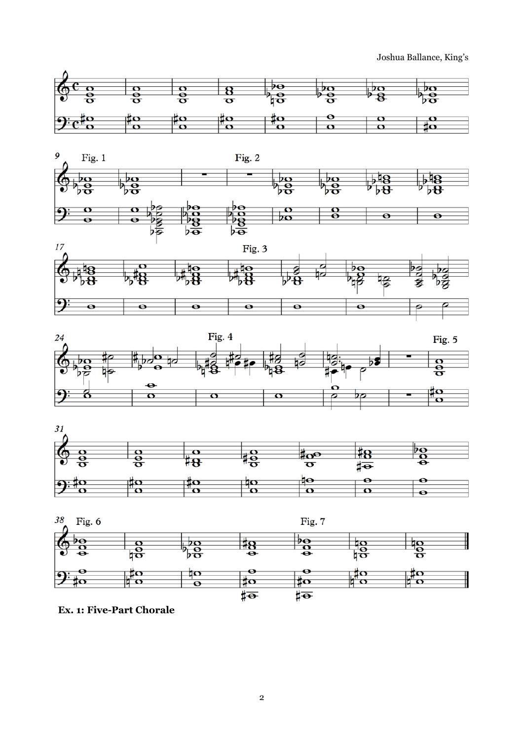Joshua Ballance, King's













**Ex. 1: Five-Part Chorale**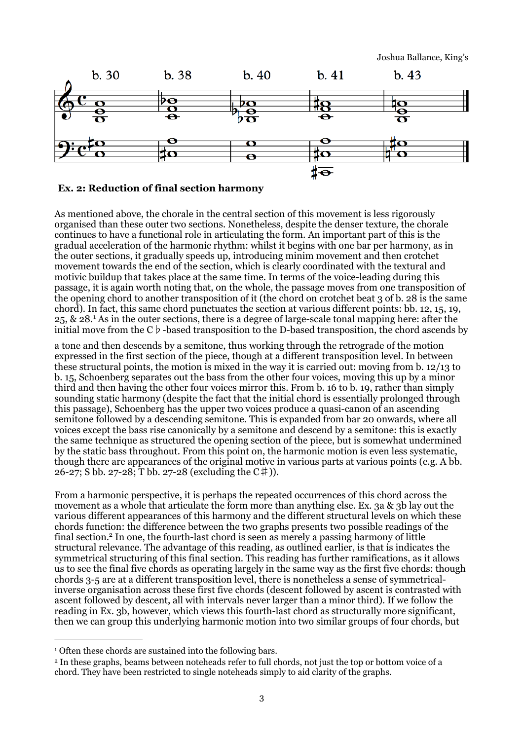Joshua Ballance, King's



## **Ex. 2: Reduction of final section harmony**

As mentioned above, the chorale in the central section of this movement is less rigorously organised than these outer two sections. Nonetheless, despite the denser texture, the chorale continues to have a functional role in articulating the form. An important part of this is the gradual acceleration of the harmonic rhythm: whilst it begins with one bar per harmony, as in the outer sections, it gradually speeds up, introducing minim movement and then crotchet movement towards the end of the section, which is clearly coordinated with the textural and motivic buildup that takes place at the same time. In terms of the voice-leading during this passage, it is again worth noting that, on the whole, the passage moves from one transposition of the opening chord to another transposition of it (the chord on crotchet beat 3 of b. 28 is the same chord). In fact, this same chord punctuates the section at various different points: bb. 12, 15, 19, 25, $\&$  28.<sup>[1](#page-2-0)</sup> As in the outer sections, there is a degree of large-scale tonal mapping here: after the initial move from the C♭-based transposition to the D-based transposition, the chord ascends by

<span id="page-2-2"></span>a tone and then descends by a semitone, thus working through the retrograde of the motion expressed in the first section of the piece, though at a different transposition level. In between these structural points, the motion is mixed in the way it is carried out: moving from b. 12/13 to b. 15, Schoenberg separates out the bass from the other four voices, moving this up by a minor third and then having the other four voices mirror this. From b. 16 to b. 19, rather than simply sounding static harmony (despite the fact that the initial chord is essentially prolonged through this passage), Schoenberg has the upper two voices produce a quasi-canon of an ascending semitone followed by a descending semitone. This is expanded from bar 20 onwards, where all voices except the bass rise canonically by a semitone and descend by a semitone: this is exactly the same technique as structured the opening section of the piece, but is somewhat undermined by the static bass throughout. From this point on, the harmonic motion is even less systematic, though there are appearances of the original motive in various parts at various points (e.g. A bb.  $26-27$ ; S bb. 27-28; T bb. 27-28 (excluding the C#)).

<span id="page-2-3"></span>From a harmonic perspective, it is perhaps the repeated occurrences of this chord across the movement as a whole that articulate the form more than anything else. Ex. 3a & 3b lay out the various different appearances of this harmony and the different structural levels on which these chords function: the difference between the two graphs presents two possible readings of the final section[.](#page-2-1)<sup>[2](#page-2-1)</sup> In one, the fourth-last chord is seen as merely a passing harmony of little structural relevance. The advantage of this reading, as outlined earlier, is that is indicates the symmetrical structuring of this final section. This reading has further ramifications, as it allows us to see the final five chords as operating largely in the same way as the first five chords: though chords 3-5 are at a different transposition level, there is nonetheless a sense of symmetricalinverse organisation across these first five chords (descent followed by ascent is contrasted with ascent followed by descent, all with intervals never larger than a minor third). If we follow the reading in Ex. 3b, however, which views this fourth-last chord as structurally more significant, then we can group this underlying harmonic motion into two similar groups of four chords, but

<span id="page-2-0"></span><sup>&</sup>lt;sup>[1](#page-2-2)</sup> Often these chords are sustained into the following bars.

<span id="page-2-1"></span><sup>&</sup>lt;sup>[2](#page-2-3)</sup> In these graphs, beams between noteheads refer to full chords, not just the top or bottom voice of a chord. They have been restricted to single noteheads simply to aid clarity of the graphs.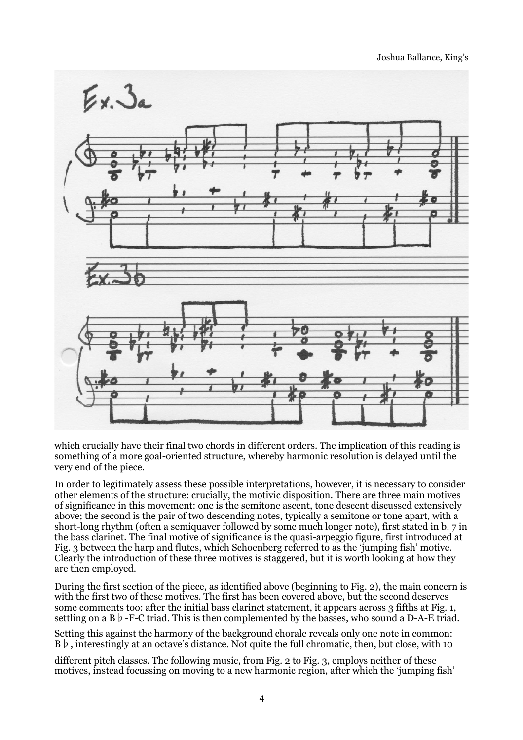

which crucially have their final two chords in different orders. The implication of this reading is something of a more goal-oriented structure, whereby harmonic resolution is delayed until the very end of the piece.

In order to legitimately assess these possible interpretations, however, it is necessary to consider other elements of the structure: crucially, the motivic disposition. There are three main motives of significance in this movement: one is the semitone ascent, tone descent discussed extensively above; the second is the pair of two descending notes, typically a semitone or tone apart, with a short-long rhythm (often a semiquaver followed by some much longer note), first stated in b. 7 in the bass clarinet. The final motive of significance is the quasi-arpeggio figure, first introduced at Fig. 3 between the harp and flutes, which Schoenberg referred to as the 'jumping fish' motive. Clearly the introduction of these three motives is staggered, but it is worth looking at how they are then employed.

During the first section of the piece, as identified above (beginning to Fig. 2), the main concern is with the first two of these motives. The first has been covered above, but the second deserves some comments too: after the initial bass clarinet statement, it appears across 3 fifths at Fig. 1, settling on a B  $\flat$ -F-C triad. This is then complemented by the basses, who sound a D-A-E triad.

Setting this against the harmony of the background chorale reveals only one note in common: B♭, interestingly at an octave's distance. Not quite the full chromatic, then, but close, with 10

different pitch classes. The following music, from Fig. 2 to Fig. 3, employs neither of these motives, instead focussing on moving to a new harmonic region, after which the 'jumping fish'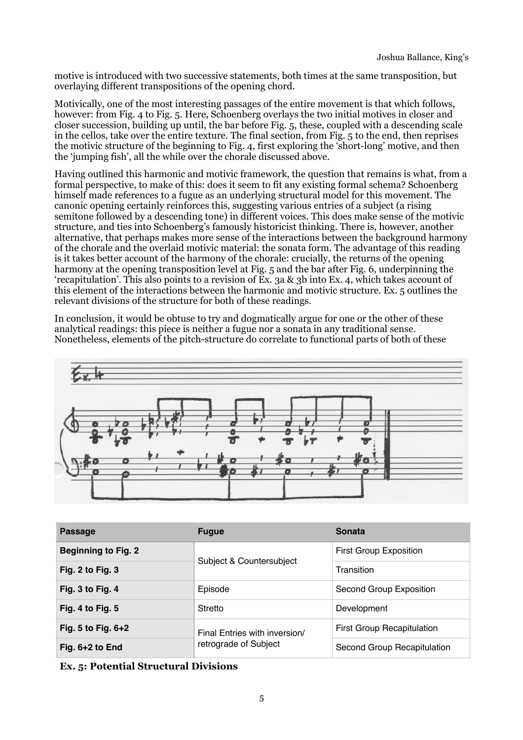motive is introduced with two successive statements, both times at the same transposition, but overlaying different transpositions of the opening chord.

Motivically, one of the most interesting passages of the entire movement is that which follows, however: from Fig. 4 to Fig. 5. Here, Schoenberg overlays the two initial motives in closer and closer succession, building up until, the bar before Fig. 5, these, coupled with a descending scale in the cellos, take over the entire texture. The final section, from Fig. 5 to the end, then reprises the motivic structure of the beginning to Fig. 4, first exploring the 'short-long' motive, and then the 'jumping fish', all the while over the chorale discussed above.

Having outlined this harmonic and motivic framework, the question that remains is what, from a formal perspective, to make of this: does it seem to fit any existing formal schema? Schoenberg himself made references to a fugue as an underlying structural model for this movement. The canonic opening certainly reinforces this, suggesting various entries of a subject (a rising semitone followed by a descending tone) in different voices. This does make sense of the motivic structure, and ties into Schoenberg's famously historicist thinking. There is, however, another alternative, that perhaps makes more sense of the interactions between the background harmony of the chorale and the overlaid motivic material: the sonata form. The advantage of this reading is it takes better account of the harmony of the chorale: crucially, the returns of the opening harmony at the opening transposition level at Fig. 5 and the bar after Fig. 6, underpinning the 'recapitulation'. This also points to a revision of Ex. 3a & 3b into Ex. 4, which takes account of this element of the interactions between the harmonic and motivic structure. Ex. 5 outlines the relevant divisions of the structure for both of these readings.

In conclusion, it would be obtuse to try and dogmatically argue for one or the other of these analytical readings: this piece is neither a fugue nor a sonata in any traditional sense. Nonetheless, elements of the pitch-structure do correlate to functional parts of both of these



| <b>Passage</b>             | <b>Fugue</b>                                           | <b>Sonata</b>                     |
|----------------------------|--------------------------------------------------------|-----------------------------------|
| <b>Beginning to Fig. 2</b> | Subject & Countersubject                               | <b>First Group Exposition</b>     |
| Fig. $2$ to Fig. $3$       |                                                        | Transition                        |
| Fig. 3 to Fig. 4           | Episode                                                | Second Group Exposition           |
| Fig. 4 to Fig. $5$         | Stretto                                                | Development                       |
| Fig. 5 to Fig. $6+2$       | Final Entries with inversion/<br>retrograde of Subject | <b>First Group Recapitulation</b> |
| Fig. $6+2$ to End          |                                                        | Second Group Recapitulation       |

**Ex. 5: Potential Structural Divisions**